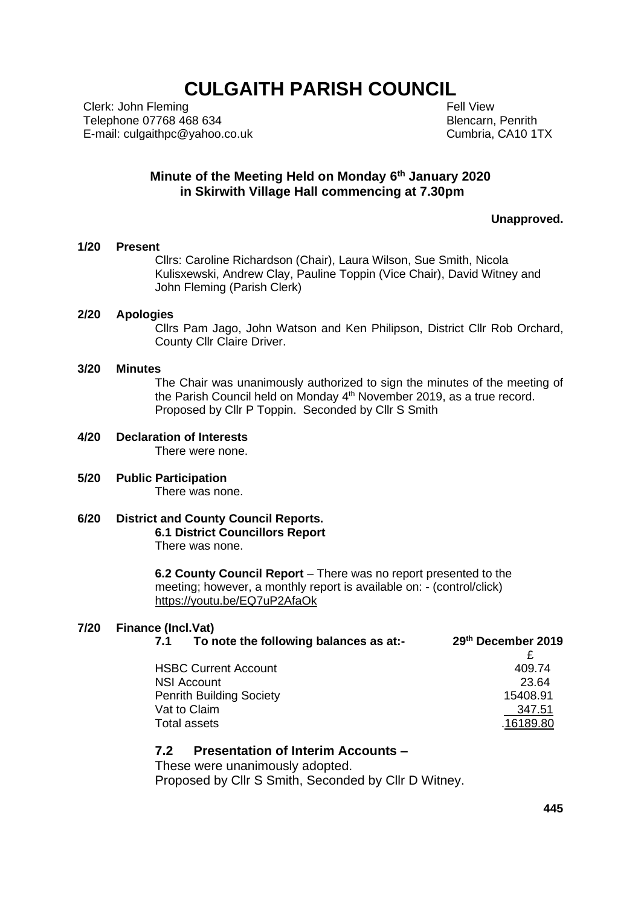# **CULGAITH PARISH COUNCIL**

Clerk: John Fleming Telephone 07768 468 634 E-mail: culgaithpc@yahoo.co.uk  Fell View Blencarn, Penrith Cumbria, CA10 1TX

#### **Minute of the Meeting Held on Monday 6 th January 2020 in Skirwith Village Hall commencing at 7.30pm**

**Unapproved.**

#### **1/20 Present**

Cllrs: Caroline Richardson (Chair), Laura Wilson, Sue Smith, Nicola Kulisxewski, Andrew Clay, Pauline Toppin (Vice Chair), David Witney and John Fleming (Parish Clerk)

#### **2/20 Apologies**

Cllrs Pam Jago, John Watson and Ken Philipson, District Cllr Rob Orchard, County Cllr Claire Driver.

#### **3/20 Minutes**

The Chair was unanimously authorized to sign the minutes of the meeting of the Parish Council held on Monday 4<sup>th</sup> November 2019, as a true record. Proposed by Cllr P Toppin. Seconded by Cllr S Smith

# **4/20 Declaration of Interests**

There were none.

- **5/20 Public Participation** There was none.
- **6/20 District and County Council Reports. 6.1 District Councillors Report** There was none.

**6.2 County Council Report** – There was no report presented to the meeting; however, a monthly report is available on: - (control/click) <https://youtu.be/EQ7uP2AfaOk>

#### **7/20 Finance (Incl.Vat)**

| 7.1 | To note the following balances as at:- | 29th December 2019 |
|-----|----------------------------------------|--------------------|
|     |                                        |                    |
|     | <b>HSBC Current Account</b>            | 409.74             |
|     | NSI Account                            | 23.64              |
|     | <b>Penrith Building Society</b>        | 15408.91           |
|     | Vat to Claim                           | 347.51             |
|     | Total assets                           | .16189.80          |
|     |                                        |                    |

#### **7.2 Presentation of Interim Accounts –**

These were unanimously adopted.

Proposed by Cllr S Smith, Seconded by Cllr D Witney.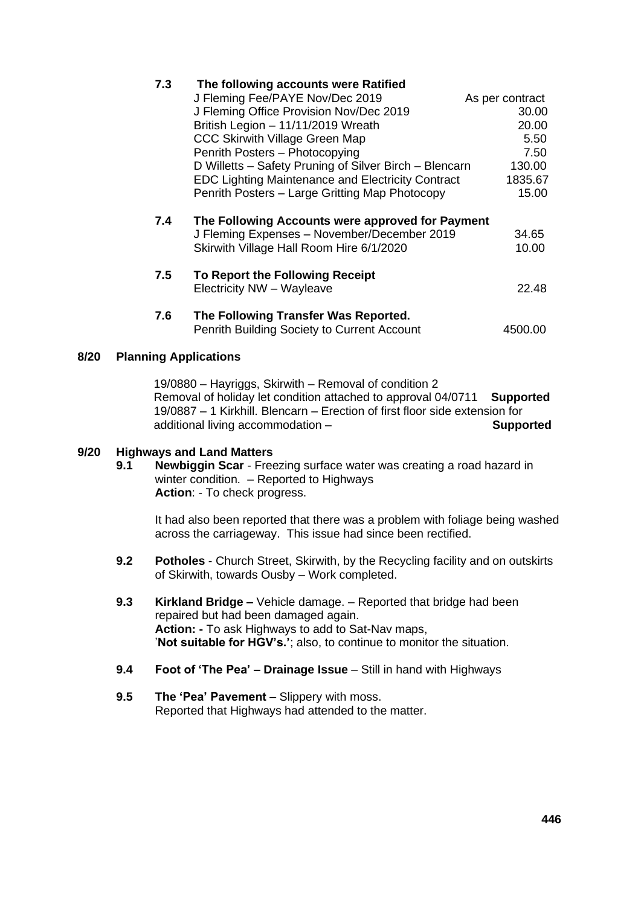|      | د. ا                                   | The following accounts were Rathled                      |                 |
|------|----------------------------------------|----------------------------------------------------------|-----------------|
|      |                                        | J Fleming Fee/PAYE Nov/Dec 2019                          | As per contract |
|      |                                        | J Fleming Office Provision Nov/Dec 2019                  | 30.00           |
|      |                                        | British Legion - 11/11/2019 Wreath                       | 20.00           |
|      |                                        | <b>CCC Skirwith Village Green Map</b>                    | 5.50            |
|      |                                        | Penrith Posters - Photocopying                           | 7.50            |
|      |                                        | D Willetts – Safety Pruning of Silver Birch – Blencarn   | 130.00          |
|      |                                        | <b>EDC Lighting Maintenance and Electricity Contract</b> | 1835.67         |
|      |                                        | Penrith Posters - Large Gritting Map Photocopy           | 15.00           |
|      | 7.4                                    | The Following Accounts were approved for Payment         |                 |
|      |                                        | J Fleming Expenses - November/December 2019              | 34.65           |
|      |                                        | Skirwith Village Hall Room Hire 6/1/2020                 | 10.00           |
|      | 7.5<br>To Report the Following Receipt |                                                          |                 |
|      |                                        | Electricity NW - Wayleave                                | 22.48           |
|      | 7.6                                    | The Following Transfer Was Reported.                     |                 |
|      |                                        | Penrith Building Society to Current Account              | 4500.00         |
| 8/20 | <b>Planning Applications</b>           |                                                          |                 |

# 19/0880 – Hayriggs, Skirwith – Removal of condition 2

Removal of holiday let condition attached to approval 04/0711 **Supported** 19/0887 – 1 Kirkhill. Blencarn – Erection of first floor side extension for additional living accommodation – **Supported**

### **9/20 Highways and Land Matters**

**9.1 Newbiggin Scar** - Freezing surface water was creating a road hazard in winter condition. – Reported to Highways **Action**: - To check progress.

It had also been reported that there was a problem with foliage being washed across the carriageway. This issue had since been rectified.

- **9.2 Potholes**  Church Street, Skirwith, by the Recycling facility and on outskirts of Skirwith, towards Ousby – Work completed.
- **9.3 Kirkland Bridge –** Vehicle damage. Reported that bridge had been repaired but had been damaged again. **Action: -** To ask Highways to add to Sat-Nav maps, '**Not suitable for HGV's.'**; also, to continue to monitor the situation.
- **9.4 Foot of 'The Pea' – Drainage Issue** Still in hand with Highways
- **9.5 The 'Pea' Pavement –** Slippery with moss. Reported that Highways had attended to the matter.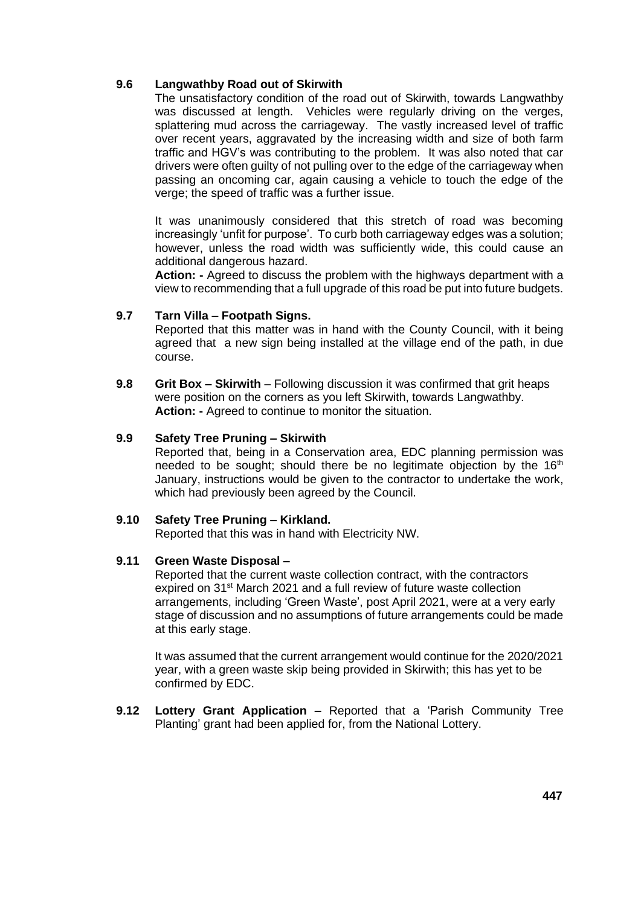#### **9.6 Langwathby Road out of Skirwith**

The unsatisfactory condition of the road out of Skirwith, towards Langwathby was discussed at length. Vehicles were regularly driving on the verges, splattering mud across the carriageway. The vastly increased level of traffic over recent years, aggravated by the increasing width and size of both farm traffic and HGV's was contributing to the problem. It was also noted that car drivers were often guilty of not pulling over to the edge of the carriageway when passing an oncoming car, again causing a vehicle to touch the edge of the verge; the speed of traffic was a further issue.

It was unanimously considered that this stretch of road was becoming increasingly 'unfit for purpose'. To curb both carriageway edges was a solution; however, unless the road width was sufficiently wide, this could cause an additional dangerous hazard.

**Action: -** Agreed to discuss the problem with the highways department with a view to recommending that a full upgrade of this road be put into future budgets.

#### **9.7 Tarn Villa – Footpath Signs.**

Reported that this matter was in hand with the County Council, with it being agreed that a new sign being installed at the village end of the path, in due course.

**9.8 Grit Box – Skirwith** – Following discussion it was confirmed that grit heaps were position on the corners as you left Skirwith, towards Langwathby. **Action: -** Agreed to continue to monitor the situation.

#### **9.9 Safety Tree Pruning – Skirwith**

Reported that, being in a Conservation area, EDC planning permission was needed to be sought; should there be no legitimate objection by the  $16<sup>th</sup>$ January, instructions would be given to the contractor to undertake the work, which had previously been agreed by the Council.

#### **9.10 Safety Tree Pruning – Kirkland.**

Reported that this was in hand with Electricity NW.

#### **9.11 Green Waste Disposal –**

Reported that the current waste collection contract, with the contractors expired on 31<sup>st</sup> March 2021 and a full review of future waste collection arrangements, including 'Green Waste', post April 2021, were at a very early stage of discussion and no assumptions of future arrangements could be made at this early stage.

It was assumed that the current arrangement would continue for the 2020/2021 year, with a green waste skip being provided in Skirwith; this has yet to be confirmed by EDC.

**9.12 Lottery Grant Application –** Reported that a 'Parish Community Tree Planting' grant had been applied for, from the National Lottery.